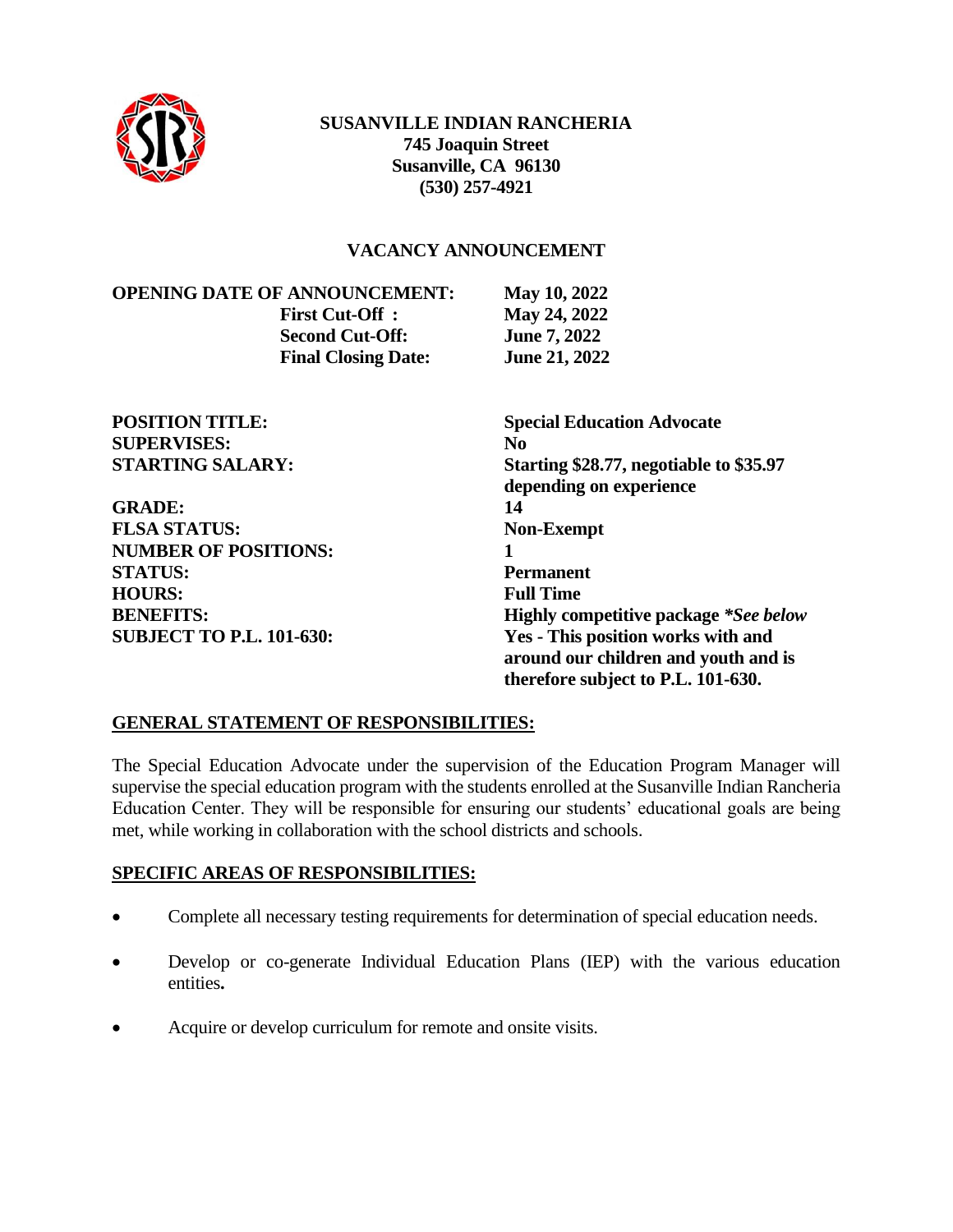

### **SUSANVILLE INDIAN RANCHERIA 745 Joaquin Street Susanville, CA 96130 (530) 257-4921**

### **VACANCY ANNOUNCEMENT**

**OPENING DATE OF ANNOUNCEMENT: May 10, 2022 First Cut-Off : May 24, 2022 Second Cut-Off: June 7, 2022 Final Closing Date: June 21, 2022**

| <b>POSITION TITLE:</b>          | <b>Special Education Advocate</b>            |
|---------------------------------|----------------------------------------------|
| <b>SUPERVISES:</b>              | No.                                          |
| <b>STARTING SALARY:</b>         | Starting \$28.77, negotiable to \$35.97      |
|                                 | depending on experience                      |
| <b>GRADE:</b>                   | 14                                           |
| <b>FLSA STATUS:</b>             | <b>Non-Exempt</b>                            |
| <b>NUMBER OF POSITIONS:</b>     |                                              |
| <b>STATUS:</b>                  | <b>Permanent</b>                             |
| <b>HOURS:</b>                   | <b>Full Time</b>                             |
| <b>BENEFITS:</b>                | <b>Highly competitive package *See below</b> |
| <b>SUBJECT TO P.L. 101-630:</b> | Yes - This position works with and           |
|                                 | around our children and youth and is         |
|                                 | therefore subject to P.L. 101-630.           |

# **GENERAL STATEMENT OF RESPONSIBILITIES:**

The Special Education Advocate under the supervision of the Education Program Manager will supervise the special education program with the students enrolled at the Susanville Indian Rancheria Education Center. They will be responsible for ensuring our students' educational goals are being met, while working in collaboration with the school districts and schools.

### **SPECIFIC AREAS OF RESPONSIBILITIES:**

- Complete all necessary testing requirements for determination of special education needs.
- Develop or co-generate Individual Education Plans (IEP) with the various education entities**.**
- Acquire or develop curriculum for remote and onsite visits.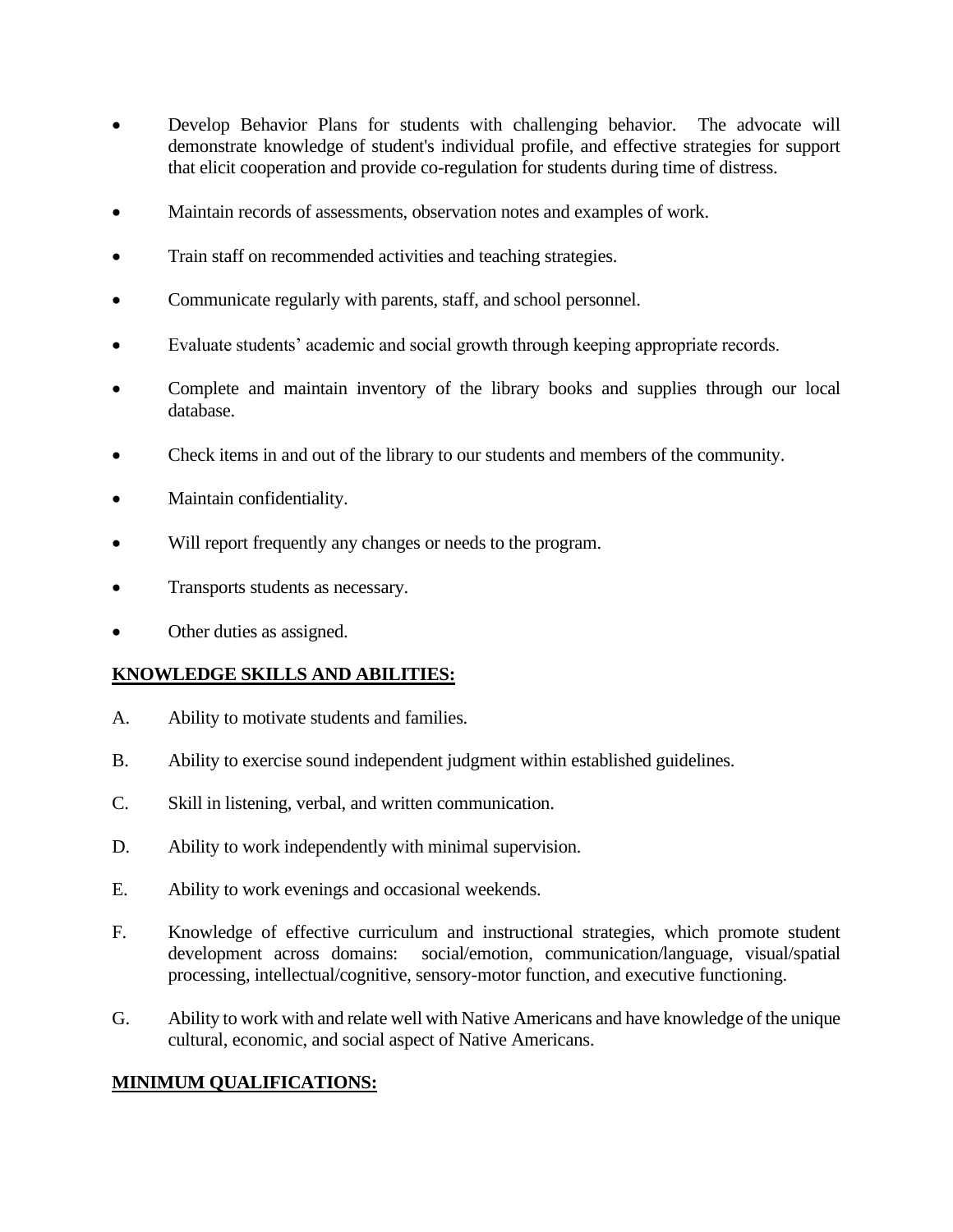- Develop Behavior Plans for students with challenging behavior. The advocate will demonstrate knowledge of student's individual profile, and effective strategies for support that elicit cooperation and provide co-regulation for students during time of distress.
- Maintain records of assessments, observation notes and examples of work.
- Train staff on recommended activities and teaching strategies.
- Communicate regularly with parents, staff, and school personnel.
- Evaluate students' academic and social growth through keeping appropriate records.
- Complete and maintain inventory of the library books and supplies through our local database.
- Check items in and out of the library to our students and members of the community.
- Maintain confidentiality.
- Will report frequently any changes or needs to the program.
- Transports students as necessary.
- Other duties as assigned.

# **KNOWLEDGE SKILLS AND ABILITIES:**

- A. Ability to motivate students and families.
- B. Ability to exercise sound independent judgment within established guidelines.
- C. Skill in listening, verbal, and written communication.
- D. Ability to work independently with minimal supervision.
- E. Ability to work evenings and occasional weekends.
- F. Knowledge of effective curriculum and instructional strategies, which promote student development across domains: social/emotion, communication/language, visual/spatial processing, intellectual/cognitive, sensory-motor function, and executive functioning.
- G. Ability to work with and relate well with Native Americans and have knowledge of the unique cultural, economic, and social aspect of Native Americans.

# **MINIMUM QUALIFICATIONS:**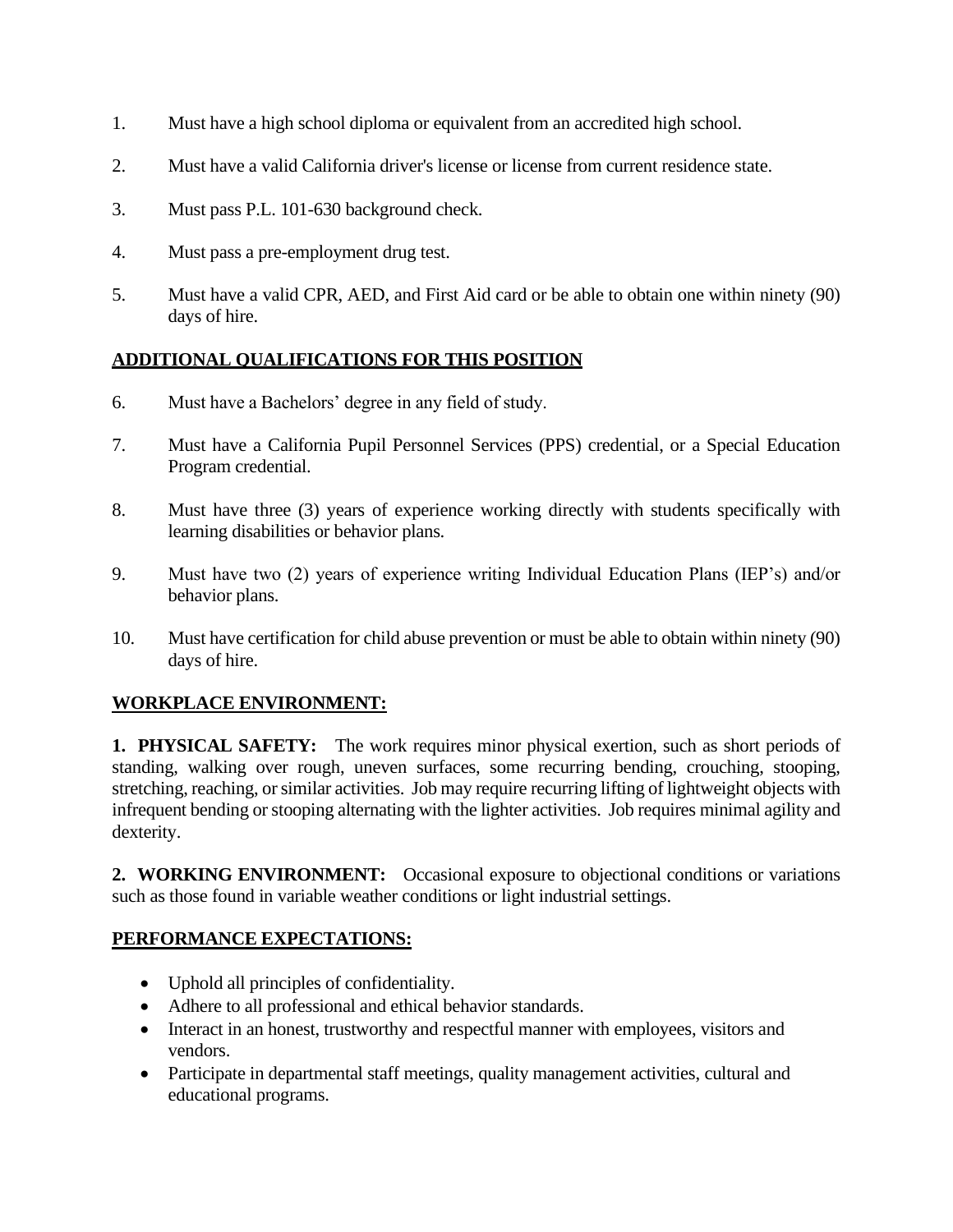- 1. Must have a high school diploma or equivalent from an accredited high school.
- 2. Must have a valid California driver's license or license from current residence state.
- 3. Must pass P.L. 101-630 background check.
- 4. Must pass a pre-employment drug test.
- 5. Must have a valid CPR, AED, and First Aid card or be able to obtain one within ninety (90) days of hire.

### **ADDITIONAL QUALIFICATIONS FOR THIS POSITION**

- 6. Must have a Bachelors' degree in any field of study.
- 7. Must have a California Pupil Personnel Services (PPS) credential, or a Special Education Program credential.
- 8. Must have three (3) years of experience working directly with students specifically with learning disabilities or behavior plans.
- 9. Must have two (2) years of experience writing Individual Education Plans (IEP's) and/or behavior plans.
- 10. Must have certification for child abuse prevention or must be able to obtain within ninety (90) days of hire.

# **WORKPLACE ENVIRONMENT:**

**1. PHYSICAL SAFETY:** The work requires minor physical exertion, such as short periods of standing, walking over rough, uneven surfaces, some recurring bending, crouching, stooping, stretching, reaching, or similar activities. Job may require recurring lifting of lightweight objects with infrequent bending or stooping alternating with the lighter activities. Job requires minimal agility and dexterity.

**2. WORKING ENVIRONMENT:** Occasional exposure to objectional conditions or variations such as those found in variable weather conditions or light industrial settings.

# **PERFORMANCE EXPECTATIONS:**

- Uphold all principles of confidentiality.
- Adhere to all professional and ethical behavior standards.
- Interact in an honest, trustworthy and respectful manner with employees, visitors and vendors.
- Participate in departmental staff meetings, quality management activities, cultural and educational programs.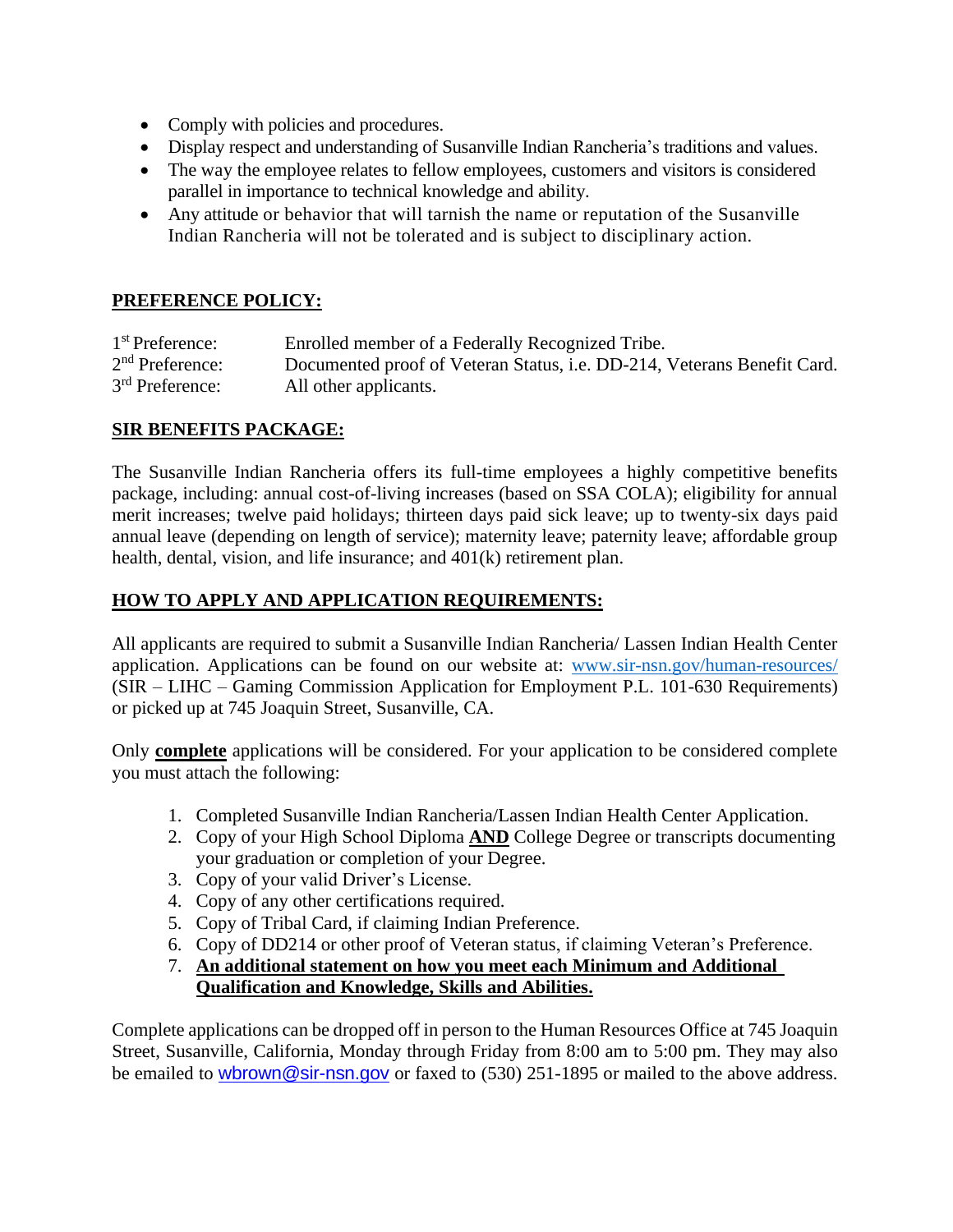- Comply with policies and procedures.
- Display respect and understanding of Susanville Indian Rancheria's traditions and values.
- The way the employee relates to fellow employees, customers and visitors is considered parallel in importance to technical knowledge and ability.
- Any attitude or behavior that will tarnish the name or reputation of the Susanville Indian Rancheria will not be tolerated and is subject to disciplinary action.

### **PREFERENCE POLICY:**

| 1 <sup>st</sup> Preference: | Enrolled member of a Federally Recognized Tribe.                        |
|-----------------------------|-------------------------------------------------------------------------|
| $2nd$ Preference:           | Documented proof of Veteran Status, i.e. DD-214, Veterans Benefit Card. |
| 3 <sup>rd</sup> Preference: | All other applicants.                                                   |

### **SIR BENEFITS PACKAGE:**

The Susanville Indian Rancheria offers its full-time employees a highly competitive benefits package, including: annual cost-of-living increases (based on SSA COLA); eligibility for annual merit increases; twelve paid holidays; thirteen days paid sick leave; up to twenty-six days paid annual leave (depending on length of service); maternity leave; paternity leave; affordable group health, dental, vision, and life insurance; and 401(k) retirement plan.

### **HOW TO APPLY AND APPLICATION REQUIREMENTS:**

All applicants are required to submit a Susanville Indian Rancheria/ Lassen Indian Health Center application. Applications can be found on our website at: [www.sir-nsn.gov/human-resources/](http://www.sir-nsn.gov/human-resources/) (SIR – LIHC – Gaming Commission Application for Employment P.L. 101-630 Requirements) or picked up at 745 Joaquin Street, Susanville, CA.

Only **complete** applications will be considered. For your application to be considered complete you must attach the following:

- 1. Completed Susanville Indian Rancheria/Lassen Indian Health Center Application.
- 2. Copy of your High School Diploma **AND** College Degree or transcripts documenting your graduation or completion of your Degree.
- 3. Copy of your valid Driver's License.
- 4. Copy of any other certifications required.
- 5. Copy of Tribal Card, if claiming Indian Preference.
- 6. Copy of DD214 or other proof of Veteran status, if claiming Veteran's Preference.
- 7. **An additional statement on how you meet each Minimum and Additional Qualification and Knowledge, Skills and Abilities.**

Complete applications can be dropped off in person to the Human Resources Office at 745 Joaquin Street, Susanville, California, Monday through Friday from 8:00 am to 5:00 pm. They may also be emailed to [wbrown@sir-nsn.gov](mailto:wbrown@sir-nsn.gov) or faxed to (530) 251-1895 or mailed to the above address.